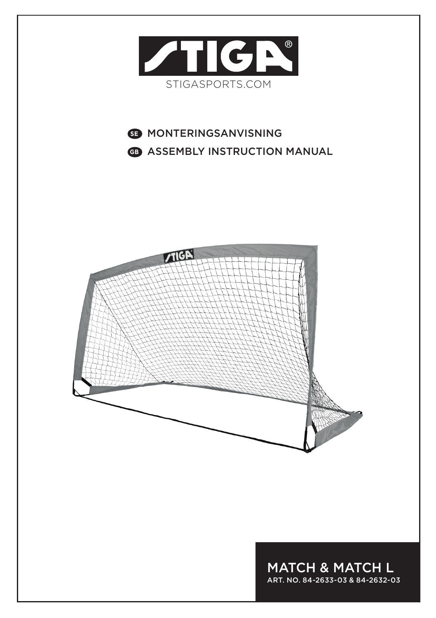

# **SE** MONTERINGSANVISNING **GB** ASSEMBLY INSTRUCTION MANUAL



MATCH & MATCH L ART. NO. 84-2633-03 & 84-2632-03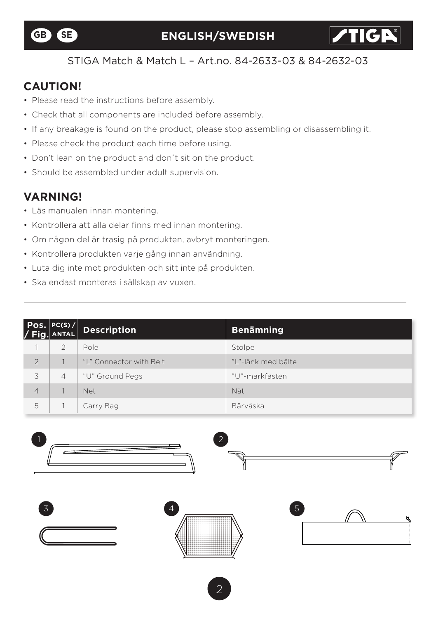

**TIGR** 

#### STIGA Match & Match L – Art.no. 84-2633-03 & 84-2632-03

### **CAUTION!**

- Please read the instructions before assembly.
- Check that all components are included before assembly.
- If any breakage is found on the product, please stop assembling or disassembling it.
- Please check the product each time before using.
- Don't lean on the product and don´t sit on the product.
- Should be assembled under adult supervision.

### **VARNING!**

- Läs manualen innan montering.
- Kontrollera att alla delar finns med innan montering.
- Om någon del är trasig på produkten, avbryt monteringen.
- Kontrollera produkten varje gång innan användning.
- Luta dig inte mot produkten och sitt inte på produkten.
- Ska endast monteras i sällskap av vuxen.

|                | $\begin{vmatrix} \mathsf{Pos.}  \mathsf{PC(S)} /  \ \mathsf{Fig.}  \mathsf{ANTAL}  \end{vmatrix}$ | <b>Description</b>      | <b>Benämning</b>    |
|----------------|---------------------------------------------------------------------------------------------------|-------------------------|---------------------|
|                | $\mathcal{P}$                                                                                     | Pole                    | Stolpe              |
| $\overline{2}$ |                                                                                                   | "L" Connector with Belt | "I "-länk med bälte |
| 3              | $\overline{4}$                                                                                    | "U" Ground Pegs         | "U"-markfästen      |
| $\overline{4}$ |                                                                                                   | <b>Net</b>              | Nät                 |
| 5              |                                                                                                   | Carry Bag               | Bärväska            |

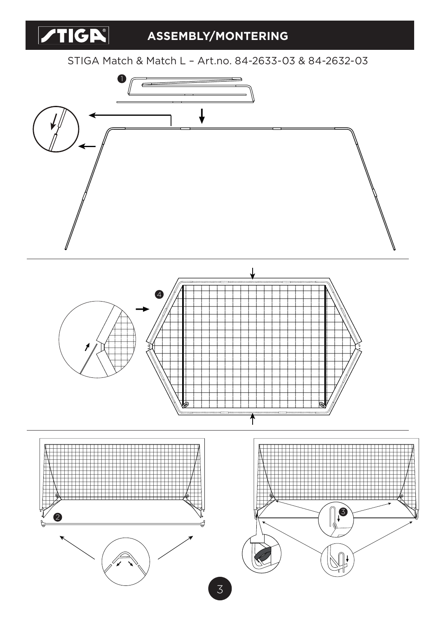

## **ASSEMBLY/MONTERING**

STIGA Match & Match L – Art.no. 84-2633-03 & 84-2632-03